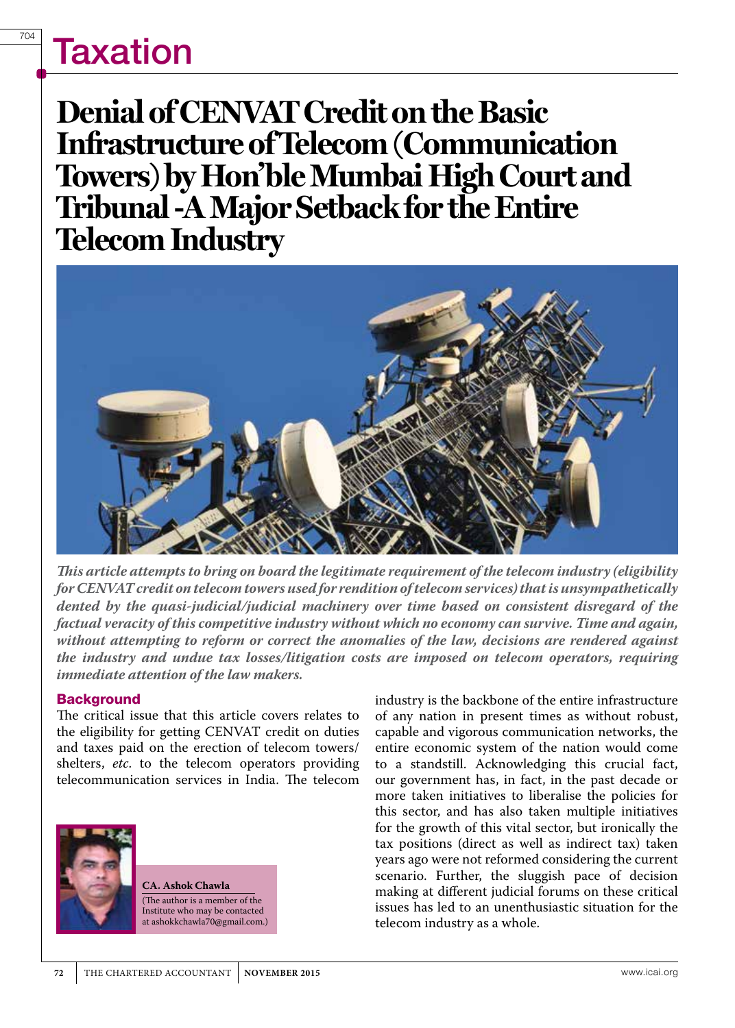**Denial of CENVAT Credit on the Basic Infrastructure of Telecom (Communication Towers) by Hon'ble Mumbai High Court and Tribunal -A Major Setback for the Entire Telecom Industry**



*This article attempts to bring on board the legitimate requirement of the telecom industry (eligibility for CENVAT credit on telecom towers used for rendition of telecom services) that is unsympathetically dented by the quasi-judicial/judicial machinery over time based on consistent disregard of the factual veracity of this competitive industry without which no economy can survive. Time and again, without attempting to reform or correct the anomalies of the law, decisions are rendered against the industry and undue tax losses/litigation costs are imposed on telecom operators, requiring immediate attention of the law makers.*

#### **Background**

The critical issue that this article covers relates to the eligibility for getting CENVAT credit on duties and taxes paid on the erection of telecom towers/ shelters, *etc*. to the telecom operators providing telecommunication services in India. The telecom



**CA. Ashok Chawla** (The author is a member of the Institute who may be contacted at ashokkchawla70@gmail.com.) industry is the backbone of the entire infrastructure of any nation in present times as without robust, capable and vigorous communication networks, the entire economic system of the nation would come to a standstill. Acknowledging this crucial fact, our government has, in fact, in the past decade or more taken initiatives to liberalise the policies for this sector, and has also taken multiple initiatives for the growth of this vital sector, but ironically the tax positions (direct as well as indirect tax) taken years ago were not reformed considering the current scenario. Further, the sluggish pace of decision making at different judicial forums on these critical issues has led to an unenthusiastic situation for the telecom industry as a whole.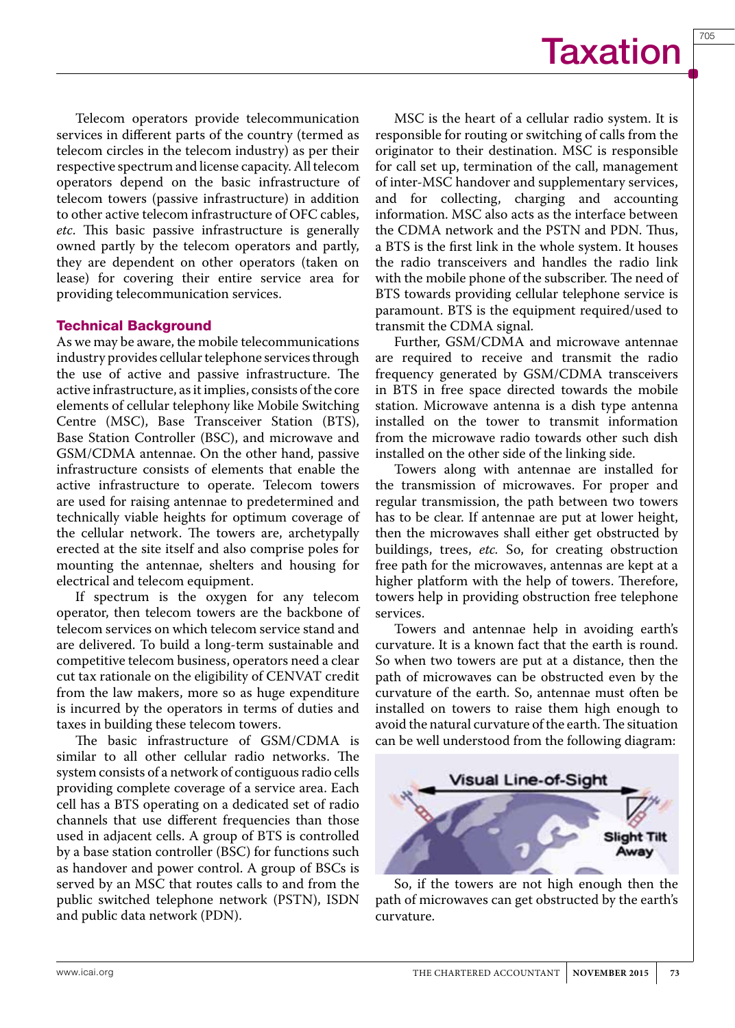705

Telecom operators provide telecommunication services in different parts of the country (termed as telecom circles in the telecom industry) as per their respective spectrum and license capacity. All telecom operators depend on the basic infrastructure of telecom towers (passive infrastructure) in addition to other active telecom infrastructure of OFC cables, *etc*. This basic passive infrastructure is generally owned partly by the telecom operators and partly, they are dependent on other operators (taken on lease) for covering their entire service area for providing telecommunication services.

#### Technical Background

As we may be aware, the mobile telecommunications industry provides cellular telephone services through the use of active and passive infrastructure. The active infrastructure, as it implies, consists of the core elements of cellular telephony like Mobile Switching Centre (MSC), Base Transceiver Station (BTS), Base Station Controller (BSC), and microwave and GSM/CDMA antennae. On the other hand, passive infrastructure consists of elements that enable the active infrastructure to operate. Telecom towers are used for raising antennae to predetermined and technically viable heights for optimum coverage of the cellular network. The towers are, archetypally erected at the site itself and also comprise poles for mounting the antennae, shelters and housing for electrical and telecom equipment.

If spectrum is the oxygen for any telecom operator, then telecom towers are the backbone of telecom services on which telecom service stand and are delivered. To build a long-term sustainable and competitive telecom business, operators need a clear cut tax rationale on the eligibility of CENVAT credit from the law makers, more so as huge expenditure is incurred by the operators in terms of duties and taxes in building these telecom towers.

The basic infrastructure of GSM/CDMA is similar to all other cellular radio networks. The system consists of a network of contiguous radio cells providing complete coverage of a service area. Each cell has a BTS operating on a dedicated set of radio channels that use different frequencies than those used in adjacent cells. A group of BTS is controlled by a base station controller (BSC) for functions such as handover and power control. A group of BSCs is served by an MSC that routes calls to and from the public switched telephone network (PSTN), ISDN and public data network (PDN).

MSC is the heart of a cellular radio system. It is responsible for routing or switching of calls from the originator to their destination. MSC is responsible for call set up, termination of the call, management of inter-MSC handover and supplementary services, and for collecting, charging and accounting information. MSC also acts as the interface between the CDMA network and the PSTN and PDN. Thus, a BTS is the first link in the whole system. It houses the radio transceivers and handles the radio link with the mobile phone of the subscriber. The need of BTS towards providing cellular telephone service is paramount. BTS is the equipment required/used to transmit the CDMA signal.

Further, GSM/CDMA and microwave antennae are required to receive and transmit the radio frequency generated by GSM/CDMA transceivers in BTS in free space directed towards the mobile station. Microwave antenna is a dish type antenna installed on the tower to transmit information from the microwave radio towards other such dish installed on the other side of the linking side.

Towers along with antennae are installed for the transmission of microwaves. For proper and regular transmission, the path between two towers has to be clear. If antennae are put at lower height, then the microwaves shall either get obstructed by buildings, trees, *etc.* So, for creating obstruction free path for the microwaves, antennas are kept at a higher platform with the help of towers. Therefore, towers help in providing obstruction free telephone services.

Towers and antennae help in avoiding earth's curvature. It is a known fact that the earth is round. So when two towers are put at a distance, then the path of microwaves can be obstructed even by the curvature of the earth. So, antennae must often be installed on towers to raise them high enough to avoid the natural curvature of the earth. The situation can be well understood from the following diagram:



So, if the towers are not high enough then the path of microwaves can get obstructed by the earth's curvature.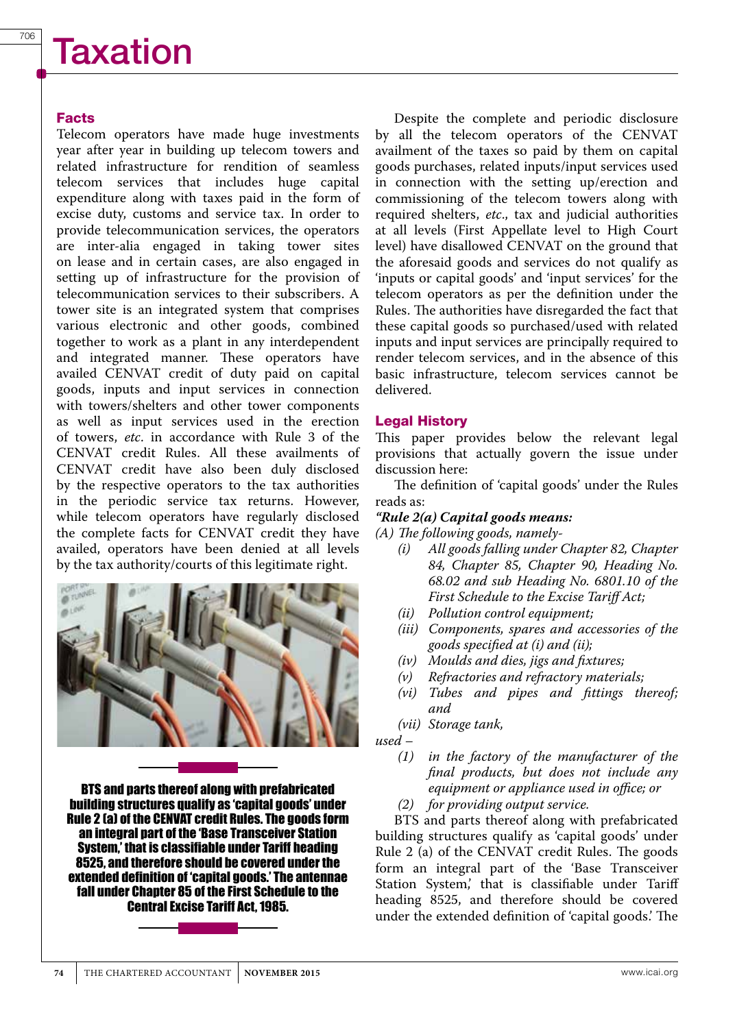#### Facts

Telecom operators have made huge investments year after year in building up telecom towers and related infrastructure for rendition of seamless telecom services that includes huge capital expenditure along with taxes paid in the form of excise duty, customs and service tax. In order to provide telecommunication services, the operators are inter-alia engaged in taking tower sites on lease and in certain cases, are also engaged in setting up of infrastructure for the provision of telecommunication services to their subscribers. A tower site is an integrated system that comprises various electronic and other goods, combined together to work as a plant in any interdependent and integrated manner. These operators have availed CENVAT credit of duty paid on capital goods, inputs and input services in connection with towers/shelters and other tower components as well as input services used in the erection of towers, *etc*. in accordance with Rule 3 of the CENVAT credit Rules. All these availments of CENVAT credit have also been duly disclosed by the respective operators to the tax authorities in the periodic service tax returns. However, while telecom operators have regularly disclosed the complete facts for CENVAT credit they have availed, operators have been denied at all levels by the tax authority/courts of this legitimate right.



BTS and parts thereof along with prefabricated building structures qualify as 'capital goods' under Rule 2 (a) of the CENVAT credit Rules. The goods form an integral part of the 'Base Transceiver Station System,' that is classifiable under Tariff heading 8525, and therefore should be covered under the extended definition of 'capital goods.' The antennae fall under Chapter 85 of the First Schedule to the Central Excise Tariff Act, 1985.



#### Legal History

This paper provides below the relevant legal provisions that actually govern the issue under discussion here:

The definition of 'capital goods' under the Rules reads as:

#### *"Rule 2(a) Capital goods means:*

*(A) The following goods, namely-*

- *(i) All goods falling under Chapter 82, Chapter 84, Chapter 85, Chapter 90, Heading No. 68.02 and sub Heading No. 6801.10 of the First Schedule to the Excise Tariff Act;*
- *(ii) Pollution control equipment;*
- *(iii) Components, spares and accessories of the goods specified at (i) and (ii);*
- *(iv) Moulds and dies, jigs and fixtures;*
- $Refractories and refractory materials;$
- *(vi) Tubes and pipes and fittings thereof; and*
- *(vii) Storage tank,*

*used –*

- *(1) in the factory of the manufacturer of the final products, but does not include any equipment or appliance used in office; or*
- *(2) for providing output service.*

BTS and parts thereof along with prefabricated building structures qualify as 'capital goods' under Rule 2 (a) of the CENVAT credit Rules. The goods form an integral part of the 'Base Transceiver Station System,' that is classifiable under Tariff heading 8525, and therefore should be covered under the extended definition of 'capital goods.' The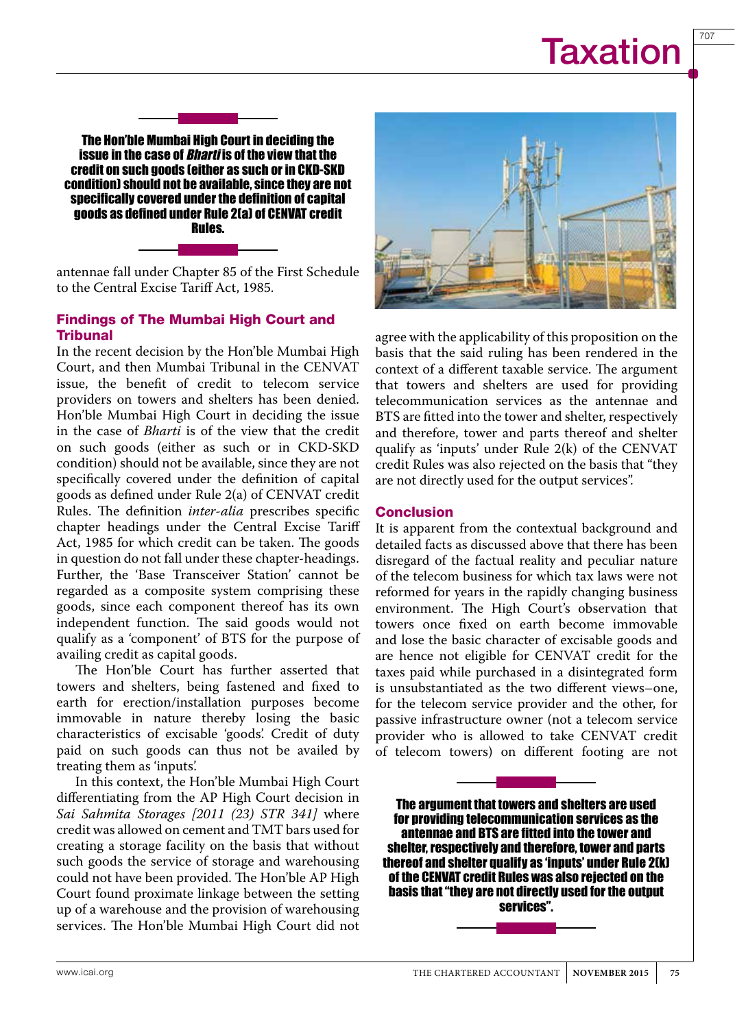707

The Hon'ble Mumbai High Court in deciding the issue in the case of *Bharti* is of the view that the credit on such goods (either as such or in CKD-SKD condition) should not be available, since they are not specifically covered under the definition of capital goods as defined under Rule 2(a) of CENVAT credit Rules.

antennae fall under Chapter 85 of the First Schedule to the Central Excise Tariff Act, 1985.

#### Findings of The Mumbai High Court and **Tribunal**

In the recent decision by the Hon'ble Mumbai High Court, and then Mumbai Tribunal in the CENVAT issue, the benefit of credit to telecom service providers on towers and shelters has been denied. Hon'ble Mumbai High Court in deciding the issue in the case of *Bharti* is of the view that the credit on such goods (either as such or in CKD-SKD condition) should not be available, since they are not specifically covered under the definition of capital goods as defined under Rule 2(a) of CENVAT credit Rules. The definition *inter-alia* prescribes specific chapter headings under the Central Excise Tariff Act, 1985 for which credit can be taken. The goods in question do not fall under these chapter-headings. Further, the 'Base Transceiver Station' cannot be regarded as a composite system comprising these goods, since each component thereof has its own independent function. The said goods would not qualify as a 'component' of BTS for the purpose of availing credit as capital goods.

The Hon'ble Court has further asserted that towers and shelters, being fastened and fixed to earth for erection/installation purposes become immovable in nature thereby losing the basic characteristics of excisable 'goods'. Credit of duty paid on such goods can thus not be availed by treating them as 'inputs'.

In this context, the Hon'ble Mumbai High Court differentiating from the AP High Court decision in *Sai Sahmita Storages [2011 (23) STR 341]* where credit was allowed on cement and TMT bars used for creating a storage facility on the basis that without such goods the service of storage and warehousing could not have been provided. The Hon'ble AP High Court found proximate linkage between the setting up of a warehouse and the provision of warehousing services. The Hon'ble Mumbai High Court did not



agree with the applicability of this proposition on the basis that the said ruling has been rendered in the context of a different taxable service. The argument that towers and shelters are used for providing telecommunication services as the antennae and BTS are fitted into the tower and shelter, respectively and therefore, tower and parts thereof and shelter qualify as 'inputs' under Rule 2(k) of the CENVAT credit Rules was also rejected on the basis that "they are not directly used for the output services".

#### Conclusion

It is apparent from the contextual background and detailed facts as discussed above that there has been disregard of the factual reality and peculiar nature of the telecom business for which tax laws were not reformed for years in the rapidly changing business environment. The High Court's observation that towers once fixed on earth become immovable and lose the basic character of excisable goods and are hence not eligible for CENVAT credit for the taxes paid while purchased in a disintegrated form is unsubstantiated as the two different views–one, for the telecom service provider and the other, for passive infrastructure owner (not a telecom service provider who is allowed to take CENVAT credit of telecom towers) on different footing are not